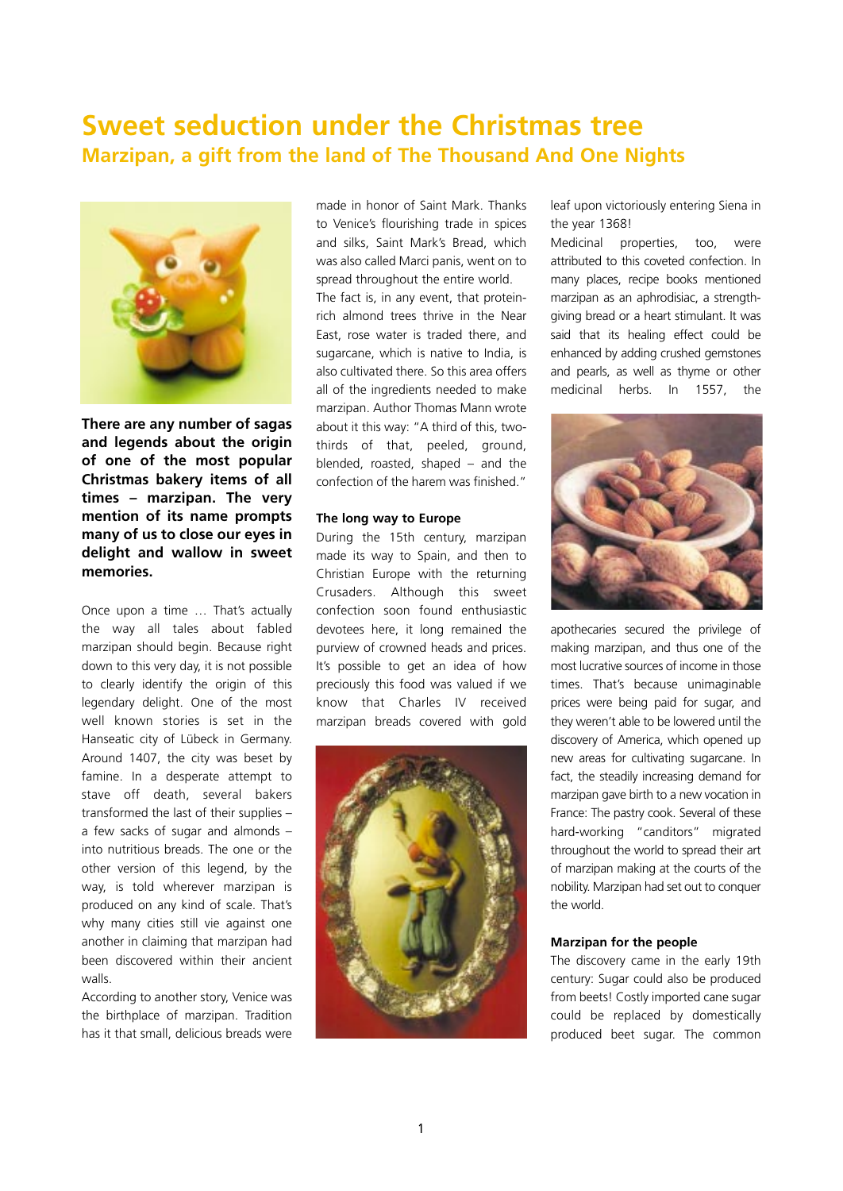## **Sweet seduction under the Christmas tree Marzipan, a gift from the land of The Thousand And One Nights**



**There are any number of sagas and legends about the origin of one of the most popular Christmas bakery items of all times – marzipan. The very mention of its name prompts many of us to close our eyes in delight and wallow in sweet memories.** 

Once upon a time … That's actually the way all tales about fabled marzipan should begin. Because right down to this very day, it is not possible to clearly identify the origin of this legendary delight. One of the most well known stories is set in the Hanseatic city of Lübeck in Germany. Around 1407, the city was beset by famine. In a desperate attempt to stave off death, several bakers transformed the last of their supplies – a few sacks of sugar and almonds – into nutritious breads. The one or the other version of this legend, by the way, is told wherever marzipan is produced on any kind of scale. That's why many cities still vie against one another in claiming that marzipan had been discovered within their ancient walls.

According to another story, Venice was the birthplace of marzipan. Tradition has it that small, delicious breads were

made in honor of Saint Mark. Thanks to Venice's flourishing trade in spices and silks, Saint Mark's Bread, which was also called Marci panis, went on to spread throughout the entire world.

The fact is, in any event, that proteinrich almond trees thrive in the Near East, rose water is traded there, and sugarcane, which is native to India, is also cultivated there. So this area offers all of the ingredients needed to make marzipan. Author Thomas Mann wrote about it this way: "A third of this, twothirds of that, peeled, ground, blended, roasted, shaped – and the confection of the harem was finished."

## **The long way to Europe**

During the 15th century, marzipan made its way to Spain, and then to Christian Europe with the returning Crusaders. Although this sweet confection soon found enthusiastic devotees here, it long remained the purview of crowned heads and prices. It's possible to get an idea of how preciously this food was valued if we know that Charles IV received marzipan breads covered with gold



leaf upon victoriously entering Siena in the year 1368!

Medicinal properties, too, were attributed to this coveted confection. In many places, recipe books mentioned marzipan as an aphrodisiac, a strengthgiving bread or a heart stimulant. It was said that its healing effect could be enhanced by adding crushed gemstones and pearls, as well as thyme or other medicinal herbs. In 1557, the



apothecaries secured the privilege of making marzipan, and thus one of the most lucrative sources of income in those times. That's because unimaginable prices were being paid for sugar, and they weren't able to be lowered until the discovery of America, which opened up new areas for cultivating sugarcane. In fact, the steadily increasing demand for marzipan gave birth to a new vocation in France: The pastry cook. Several of these hard-working "canditors" migrated throughout the world to spread their art of marzipan making at the courts of the nobility. Marzipan had set out to conquer the world.

## **Marzipan for the people**

The discovery came in the early 19th century: Sugar could also be produced from beets! Costly imported cane sugar could be replaced by domestically produced beet sugar. The common